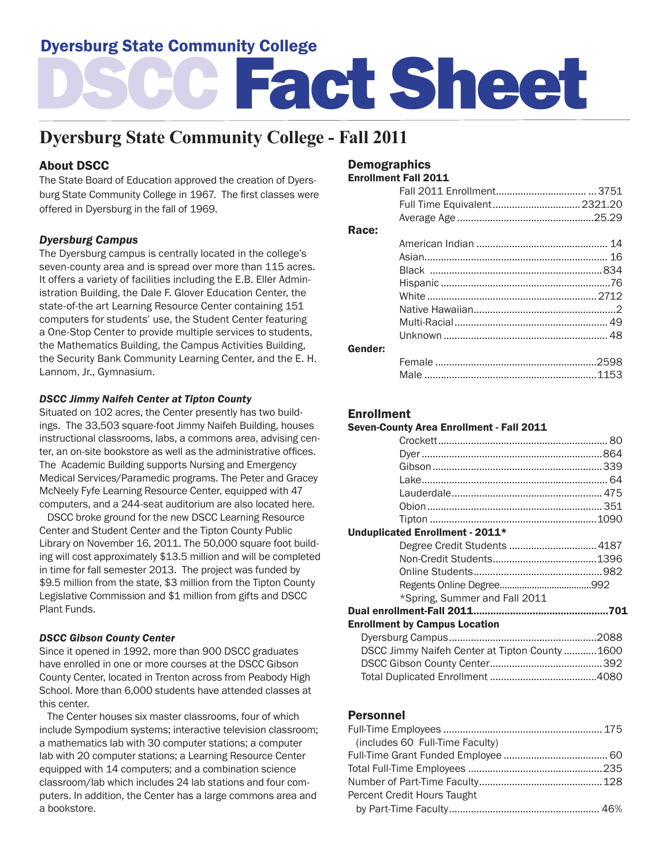# Dyersburg State Community College

# DSCC Fact Sheet

# **Dyersburg State Community College - Fall 2011**

# About DSCC

The State Board of Education approved the creation of Dyersburg State Community College in 1967. The first classes were offered in Dyersburg in the fall of 1969.

#### *Dyersburg Campus*

The Dyersburg campus is centrally located in the college's seven-county area and is spread over more than 115 acres. It offers a variety of facilities including the E.B. Eller Administration Building, the Dale F. Glover Education Center, the state-of-the art Learning Resource Center containing 151 computers for students' use, the Student Center featuring a One-Stop Center to provide multiple services to students, the Mathematics Building, the Campus Activities Building, the Security Bank Community Learning Center, and the E. H. Lannom, Jr., Gymnasium.

#### *DSCC Jimmy Naifeh Center at Tipton County*

Situated on 102 acres, the Center presently has two buildings. The 33,503 square-foot Jimmy Naifeh Building, houses instructional classrooms, labs, a commons area, advising center, an on-site bookstore as well as the administrative offices. The Academic Building supports Nursing and Emergency Medical Services/Paramedic programs. The Peter and Gracey McNeely Fyfe Learning Resource Center, equipped with 47 computers, and a 244-seat auditorium are also located here.

 DSCC broke ground for the new DSCC Learning Resource Center and Student Center and the Tipton County Public Library on November 16, 2011. The 50,000 square foot building will cost approximately \$13.5 million and will be completed in time for fall semester 2013. The project was funded by \$9.5 million from the state, \$3 million from the Tipton County Legislative Commission and \$1 million from gifts and DSCC Plant Funds.

#### *DSCC Gibson County Center*

Since it opened in 1992, more than 900 DSCC graduates have enrolled in one or more courses at the DSCC Gibson County Center, located in Trenton across from Peabody High School. More than 6,000 students have attended classes at this center.

 The Center houses six master classrooms, four of which include Sympodium systems; interactive television classroom; a mathematics lab with 30 computer stations; a computer lab with 20 computer stations; a Learning Resource Center equipped with 14 computers; and a combination science classroom/lab which includes 24 lab stations and four computers. In addition, the Center has a large commons area and a bookstore.

#### **Demographics**

Enrollment Fall 2011

|         | Full Time Equivalent 2321.20 |  |
|---------|------------------------------|--|
|         |                              |  |
| Race:   |                              |  |
|         |                              |  |
|         |                              |  |
|         |                              |  |
|         |                              |  |
|         |                              |  |
|         |                              |  |
|         |                              |  |
|         |                              |  |
| Gender: |                              |  |
|         |                              |  |
|         |                              |  |

#### Enrollment

#### Seven-County Area Enrollment - Fall 2011

| Unduplicated Enrollment - 2011*      |                                                |
|--------------------------------------|------------------------------------------------|
|                                      |                                                |
|                                      |                                                |
|                                      |                                                |
|                                      |                                                |
| *Spring, Summer and Fall 2011        |                                                |
|                                      |                                                |
| <b>Enrollment by Campus Location</b> |                                                |
|                                      |                                                |
|                                      | DSCC Jimmy Naifeh Center at Tipton County 1600 |
|                                      |                                                |
|                                      |                                                |
|                                      |                                                |

#### Personnel